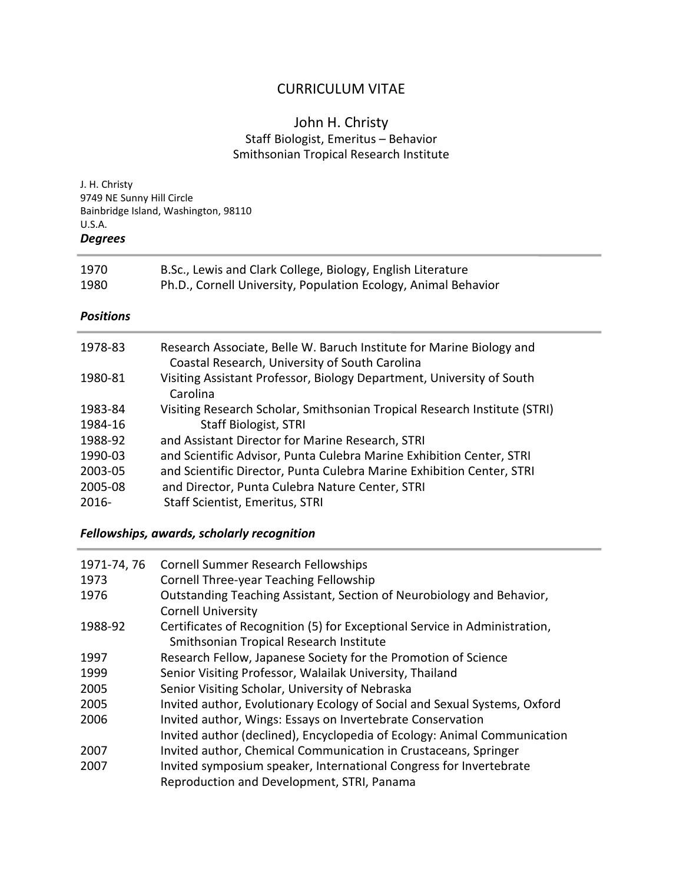# CURRICULUM VITAE

## John H. Christy Staff Biologist, Emeritus – Behavior Smithsonian Tropical Research Institute

| J. H. Christy<br>9749 NE Sunny Hill Circle<br>Bainbridge Island, Washington, 98110<br>U.S.A.<br><b>Degrees</b> |                                                                                                                                                                                                                                            |  |
|----------------------------------------------------------------------------------------------------------------|--------------------------------------------------------------------------------------------------------------------------------------------------------------------------------------------------------------------------------------------|--|
| 1970<br>1980                                                                                                   | B.Sc., Lewis and Clark College, Biology, English Literature<br>Ph.D., Cornell University, Population Ecology, Animal Behavior                                                                                                              |  |
| <b>Positions</b>                                                                                               |                                                                                                                                                                                                                                            |  |
| 1978-83                                                                                                        | Research Associate, Belle W. Baruch Institute for Marine Biology and<br>Coastal Research, University of South Carolina                                                                                                                     |  |
| 1980-81                                                                                                        | Visiting Assistant Professor, Biology Department, University of South<br>Carolina                                                                                                                                                          |  |
| 1983-84                                                                                                        | Visiting Research Scholar, Smithsonian Tropical Research Institute (STRI)                                                                                                                                                                  |  |
| 1984-16                                                                                                        | <b>Staff Biologist, STRI</b>                                                                                                                                                                                                               |  |
| 1988-92                                                                                                        | and Assistant Director for Marine Research, STRI                                                                                                                                                                                           |  |
| 1990-03<br>2003-05<br>2005-08<br>$2016 -$                                                                      | and Scientific Advisor, Punta Culebra Marine Exhibition Center, STRI<br>and Scientific Director, Punta Culebra Marine Exhibition Center, STRI<br>and Director, Punta Culebra Nature Center, STRI<br><b>Staff Scientist, Emeritus, STRI</b> |  |

## *Fellowships, awards, scholarly recognition*

| 1971-74, 76 | <b>Cornell Summer Research Fellowships</b>                                 |
|-------------|----------------------------------------------------------------------------|
| 1973        | Cornell Three-year Teaching Fellowship                                     |
| 1976        | Outstanding Teaching Assistant, Section of Neurobiology and Behavior,      |
|             | <b>Cornell University</b>                                                  |
| 1988-92     | Certificates of Recognition (5) for Exceptional Service in Administration, |
|             | Smithsonian Tropical Research Institute                                    |
| 1997        | Research Fellow, Japanese Society for the Promotion of Science             |
| 1999        | Senior Visiting Professor, Walailak University, Thailand                   |
| 2005        | Senior Visiting Scholar, University of Nebraska                            |
| 2005        | Invited author, Evolutionary Ecology of Social and Sexual Systems, Oxford  |
| 2006        | Invited author, Wings: Essays on Invertebrate Conservation                 |
|             | Invited author (declined), Encyclopedia of Ecology: Animal Communication   |
| 2007        | Invited author, Chemical Communication in Crustaceans, Springer            |
| 2007        | Invited symposium speaker, International Congress for Invertebrate         |
|             | Reproduction and Development, STRI, Panama                                 |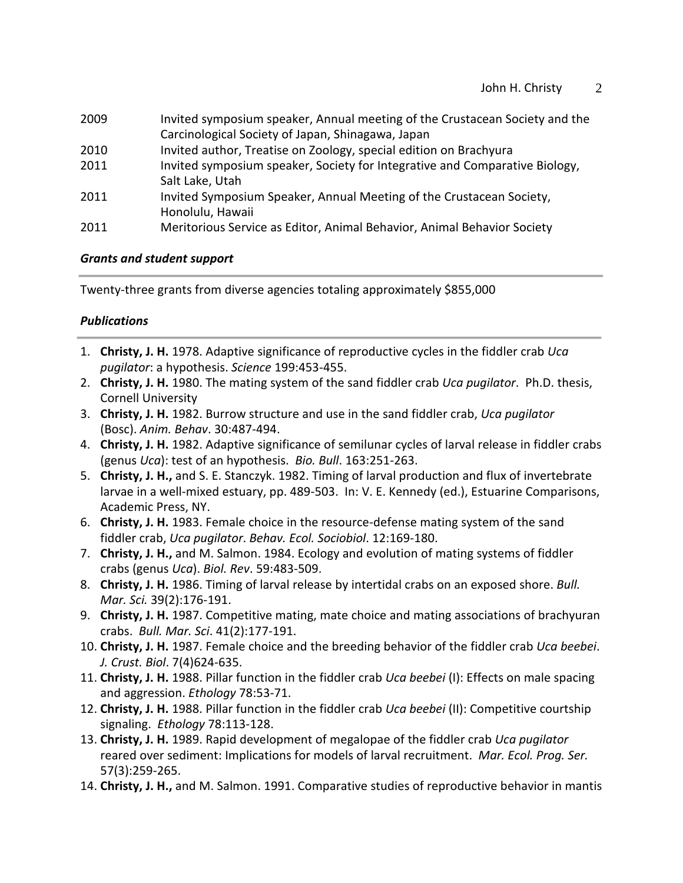- 2009 Invited symposium speaker, Annual meeting of the Crustacean Society and the Carcinological Society of Japan, Shinagawa, Japan
- 2010 Invited author, Treatise on Zoology, special edition on Brachyura
- 2011 Invited symposium speaker, Society for Integrative and Comparative Biology, Salt Lake, Utah
- 2011 Invited Symposium Speaker, Annual Meeting of the Crustacean Society, Honolulu, Hawaii
- 2011 Meritorious Service as Editor, Animal Behavior, Animal Behavior Society

### *Grants and student support*

Twenty-three grants from diverse agencies totaling approximately \$855,000

## *Publications*

- 1. **Christy, J. H.** 1978. Adaptive significance of reproductive cycles in the fiddler crab *Uca pugilator*: a hypothesis. *Science* 199:453-455.
- 2. **Christy, J. H.** 1980. The mating system of the sand fiddler crab *Uca pugilator*. Ph.D. thesis, Cornell University
- 3. **Christy, J. H.** 1982. Burrow structure and use in the sand fiddler crab, *Uca pugilator* (Bosc). *Anim. Behav*. 30:487-494.
- 4. **Christy, J. H.** 1982. Adaptive significance of semilunar cycles of larval release in fiddler crabs (genus *Uca*): test of an hypothesis. *Bio. Bull*. 163:251-263.
- 5. **Christy, J. H.,** and S. E. Stanczyk. 1982. Timing of larval production and flux of invertebrate larvae in a well-mixed estuary, pp. 489-503. In: V. E. Kennedy (ed.), Estuarine Comparisons, Academic Press, NY.
- 6. **Christy, J. H.** 1983. Female choice in the resource-defense mating system of the sand fiddler crab, *Uca pugilator*. *Behav. Ecol. Sociobiol*. 12:169-180.
- 7. **Christy, J. H.,** and M. Salmon. 1984. Ecology and evolution of mating systems of fiddler crabs (genus *Uca*). *Biol. Rev*. 59:483-509.
- 8. **Christy, J. H.** 1986. Timing of larval release by intertidal crabs on an exposed shore. *Bull. Mar. Sci.* 39(2):176-191.
- 9. **Christy, J. H.** 1987. Competitive mating, mate choice and mating associations of brachyuran crabs. *Bull. Mar. Sci*. 41(2):177-191.
- 10. **Christy, J. H.** 1987. Female choice and the breeding behavior of the fiddler crab *Uca beebei*. *J. Crust. Biol*. 7(4)624-635.
- 11. **Christy, J. H.** 1988. Pillar function in the fiddler crab *Uca beebei* (I): Effects on male spacing and aggression. *Ethology* 78:53-71.
- 12. **Christy, J. H.** 1988. Pillar function in the fiddler crab *Uca beebei* (II): Competitive courtship signaling. *Ethology* 78:113-128.
- 13. **Christy, J. H.** 1989. Rapid development of megalopae of the fiddler crab *Uca pugilator* reared over sediment: Implications for models of larval recruitment. *Mar. Ecol. Prog. Ser.*  57(3):259-265.
- 14. **Christy, J. H.,** and M. Salmon. 1991. Comparative studies of reproductive behavior in mantis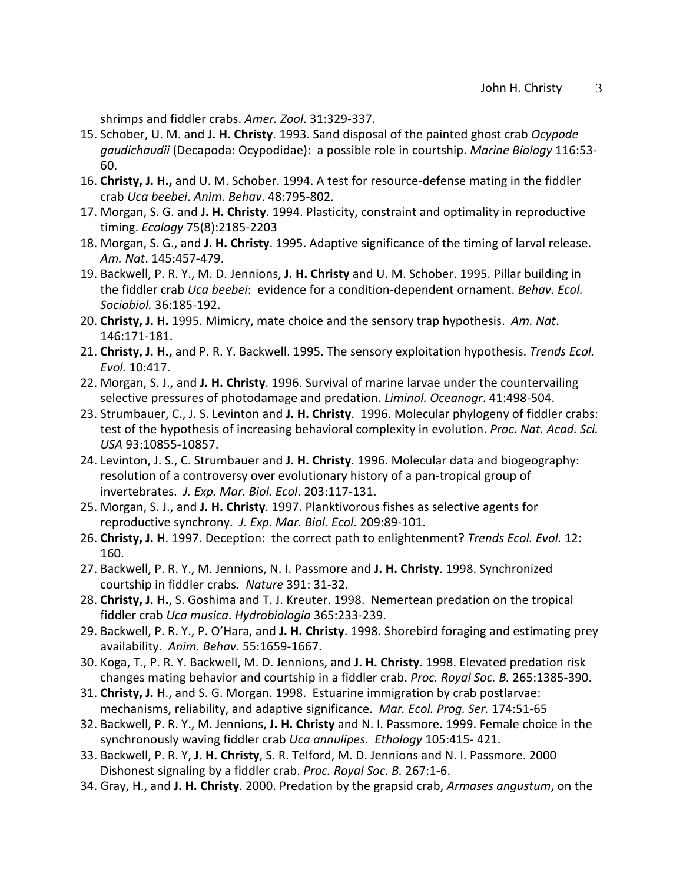shrimps and fiddler crabs. *Amer. Zool*. 31:329-337.

- 15. Schober, U. M. and **J. H. Christy**. 1993. Sand disposal of the painted ghost crab *Ocypode gaudichaudii* (Decapoda: Ocypodidae): a possible role in courtship. *Marine Biology* 116:53- 60.
- 16. **Christy, J. H.,** and U. M. Schober. 1994. A test for resource-defense mating in the fiddler crab *Uca beebei*. *Anim. Behav*. 48:795-802.
- 17. Morgan, S. G. and **J. H. Christy**. 1994. Plasticity, constraint and optimality in reproductive timing. *Ecology* 75(8):2185-2203
- 18. Morgan, S. G., and **J. H. Christy**. 1995. Adaptive significance of the timing of larval release. *Am. Nat*. 145:457-479.
- 19. Backwell, P. R. Y., M. D. Jennions, **J. H. Christy** and U. M. Schober. 1995. Pillar building in the fiddler crab *Uca beebei*: evidence for a condition-dependent ornament. *Behav. Ecol. Sociobiol.* 36:185-192.
- 20. **Christy, J. H.** 1995. Mimicry, mate choice and the sensory trap hypothesis. *Am. Nat*. 146:171-181.
- 21. **Christy, J. H.,** and P. R. Y. Backwell. 1995. The sensory exploitation hypothesis. *Trends Ecol. Evol.* 10:417.
- 22. Morgan, S. J., and **J. H. Christy**. 1996. Survival of marine larvae under the countervailing selective pressures of photodamage and predation. *Liminol. Oceanogr*. 41:498-504.
- 23. Strumbauer, C., J. S. Levinton and **J. H. Christy**. 1996. Molecular phylogeny of fiddler crabs: test of the hypothesis of increasing behavioral complexity in evolution. *Proc. Nat. Acad. Sci. USA* 93:10855-10857.
- 24. Levinton, J. S., C. Strumbauer and **J. H. Christy**. 1996. Molecular data and biogeography: resolution of a controversy over evolutionary history of a pan-tropical group of invertebrates. *J. Exp. Mar. Biol. Ecol*. 203:117-131.
- 25. Morgan, S. J., and **J. H. Christy**. 1997. Planktivorous fishes as selective agents for reproductive synchrony. *J. Exp. Mar. Biol. Ecol*. 209:89-101.
- 26. **Christy, J. H**. 1997. Deception: the correct path to enlightenment? *Trends Ecol. Evol.* 12: 160.
- 27. Backwell, P. R. Y., M. Jennions, N. I. Passmore and **J. H. Christy**. 1998. Synchronized courtship in fiddler crabs*. Nature* 391: 31-32.
- 28. **Christy, J. H.**, S. Goshima and T. J. Kreuter. 1998. Nemertean predation on the tropical fiddler crab *Uca musica*. *Hydrobiologia* 365:233-239.
- 29. Backwell, P. R. Y., P. O'Hara, and **J. H. Christy**. 1998. Shorebird foraging and estimating prey availability. *Anim. Behav*. 55:1659-1667.
- 30. Koga, T., P. R. Y. Backwell, M. D. Jennions, and **J. H. Christy**. 1998. Elevated predation risk changes mating behavior and courtship in a fiddler crab. *Proc. Royal Soc. B.* 265:1385-390.
- 31. **Christy, J. H**., and S. G. Morgan. 1998. Estuarine immigration by crab postlarvae: mechanisms, reliability, and adaptive significance. *Mar. Ecol. Prog. Ser.* 174:51-65
- 32. Backwell, P. R. Y., M. Jennions, **J. H. Christy** and N. I. Passmore. 1999. Female choice in the synchronously waving fiddler crab *Uca annulipes*. *Ethology* 105:415- 421.
- 33. Backwell, P. R. Y, **J. H. Christy**, S. R. Telford, M. D. Jennions and N. I. Passmore. 2000 Dishonest signaling by a fiddler crab. *Proc. Royal Soc. B.* 267:1-6.
- 34. Gray, H., and **J. H. Christy**. 2000. Predation by the grapsid crab, *Armases angustum*, on the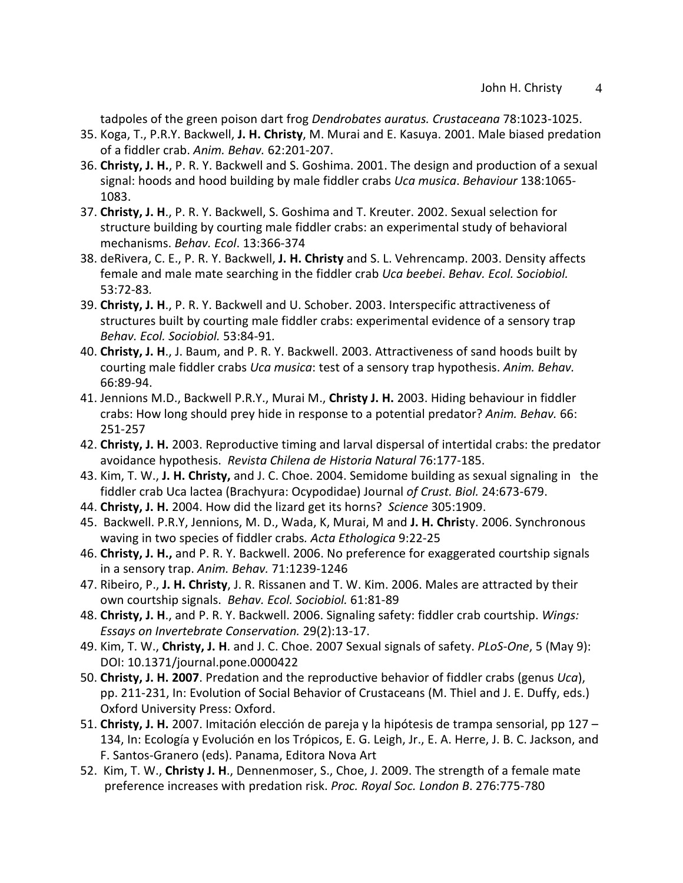tadpoles of the green poison dart frog *Dendrobates auratus. Crustaceana* 78:1023-1025.

- 35. Koga, T., P.R.Y. Backwell, **J. H. Christy**, M. Murai and E. Kasuya. 2001. Male biased predation of a fiddler crab. *Anim. Behav.* 62:201-207.
- 36. **Christy, J. H.**, P. R. Y. Backwell and S. Goshima. 2001. The design and production of a sexual signal: hoods and hood building by male fiddler crabs *Uca musica*. *Behaviour* 138:1065- 1083.
- 37. **Christy, J. H**., P. R. Y. Backwell, S. Goshima and T. Kreuter. 2002. Sexual selection for structure building by courting male fiddler crabs: an experimental study of behavioral mechanisms. *Behav. Ecol*. 13:366-374
- 38. deRivera, C. E., P. R. Y. Backwell, **J. H. Christy** and S. L. Vehrencamp. 2003. Density affects female and male mate searching in the fiddler crab *Uca beebei*. *Behav. Ecol. Sociobiol.*  53:72-83*.*
- 39. **Christy, J. H**., P. R. Y. Backwell and U. Schober. 2003. Interspecific attractiveness of structures built by courting male fiddler crabs: experimental evidence of a sensory trap *Behav. Ecol. Sociobiol.* 53:84-91*.*
- 40. **Christy, J. H**., J. Baum, and P. R. Y. Backwell. 2003. Attractiveness of sand hoods built by courting male fiddler crabs *Uca musica*: test of a sensory trap hypothesis. *Anim. Behav.*  66:89-94.
- 41. Jennions M.D., Backwell P.R.Y., Murai M., **Christy J. H.** 2003. Hiding behaviour in fiddler crabs: How long should prey hide in response to a potential predator? *Anim. Behav.* 66: 251-257
- 42. **Christy, J. H.** 2003. Reproductive timing and larval dispersal of intertidal crabs: the predator avoidance hypothesis. *Revista Chilena de Historia Natural* 76:177-185.
- 43. Kim, T. W., **J. H. Christy,** and J. C. Choe. 2004. Semidome building as sexual signaling in the fiddler crab Uca lactea (Brachyura: Ocypodidae) Journal *of Crust. Biol.* 24:673-679.
- 44. **Christy, J. H.** 2004. How did the lizard get its horns? *Science* 305:1909.
- 45. Backwell. P.R.Y, Jennions, M. D., Wada, K, Murai, M and **J. H. Chris**ty. 2006. Synchronous waving in two species of fiddler crabs*. Acta Ethologica* 9:22-25
- 46. **Christy, J. H.,** and P. R. Y. Backwell. 2006. No preference for exaggerated courtship signals in a sensory trap. *Anim. Behav.* 71:1239-1246
- 47. Ribeiro, P., **J. H. Christy**, J. R. Rissanen and T. W. Kim. 2006. Males are attracted by their own courtship signals. *Behav. Ecol. Sociobiol.* 61:81-89
- 48. **Christy, J. H**., and P. R. Y. Backwell. 2006. Signaling safety: fiddler crab courtship. *Wings: Essays on Invertebrate Conservation.* 29(2):13-17.
- 49. Kim, T. W., **Christy, J. H**. and J. C. Choe. 2007 Sexual signals of safety. *PLoS-One*, 5 (May 9): DOI: 10.1371/journal.pone.0000422
- 50. **Christy, J. H. 2007**. Predation and the reproductive behavior of fiddler crabs (genus *Uca*), pp. 211-231, In: Evolution of Social Behavior of Crustaceans (M. Thiel and J. E. Duffy, eds.) Oxford University Press: Oxford.
- 51. **Christy, J. H.** 2007. Imitación elección de pareja y la hipótesis de trampa sensorial, pp 127 134, In: Ecología y Evolución en los Trópicos, E. G. Leigh, Jr., E. A. Herre, J. B. C. Jackson, and F. Santos-Granero (eds). Panama, Editora Nova Art
- 52. Kim, T. W., **Christy J. H**., Dennenmoser, S., Choe, J. 2009. The strength of a female mate preference increases with predation risk. *Proc. Royal Soc. London B*. 276:775-780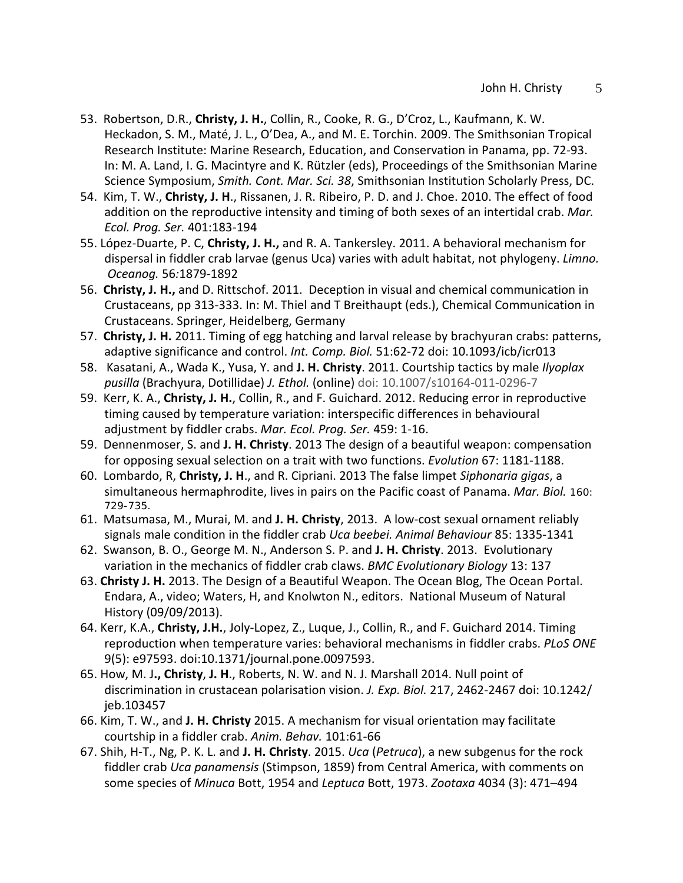- 53. Robertson, D.R., **Christy, J. H.**, Collin, R., Cooke, R. G., D'Croz, L., Kaufmann, K. W. Heckadon, S. M., Maté, J. L., O'Dea, A., and M. E. Torchin. 2009. The Smithsonian Tropical Research Institute: Marine Research, Education, and Conservation in Panama, pp. 72-93. In: M. A. Land, I. G. Macintyre and K. Rützler (eds), Proceedings of the Smithsonian Marine Science Symposium, *Smith. Cont. Mar. Sci. 38*, Smithsonian Institution Scholarly Press, DC.
- 54. Kim, T. W., **Christy, J. H**., Rissanen, J. R. Ribeiro, P. D. and J. Choe. 2010. The effect of food addition on the reproductive intensity and timing of both sexes of an intertidal crab. *Mar. Ecol. Prog. Ser.* 401:183-194
- 55. López-Duarte, P. C, **Christy, J. H.,** and R. A. Tankersley. 2011. A behavioral mechanism for dispersal in fiddler crab larvae (genus Uca) varies with adult habitat, not phylogeny. *Limno. Oceanog.* 56*:*1879-1892
- 56. **Christy, J. H.,** and D. Rittschof. 2011. Deception in visual and chemical communication in Crustaceans, pp 313-333. In: M. Thiel and T Breithaupt (eds.), Chemical Communication in Crustaceans. Springer, Heidelberg, Germany
- 57. **Christy, J. H.** 2011. Timing of egg hatching and larval release by brachyuran crabs: patterns, adaptive significance and control. *Int. Comp. Biol.* 51:62-72 doi: 10.1093/icb/icr013
- 58. Kasatani, A., Wada K., Yusa, Y. and **J. H. Christy**. 2011. Courtship tactics by male *Ilyoplax pusilla* (Brachyura, Dotillidae) *J. Ethol.* (online) doi: 10.1007/s10164-011-0296-7
- 59. Kerr, K. A., **Christy, J. H.**, Collin, R., and F. Guichard. 2012. Reducing error in reproductive timing caused by temperature variation: interspecific differences in behavioural adjustment by fiddler crabs. *Mar. Ecol. Prog. Ser.* 459: 1-16.
- 59. Dennenmoser, S. and **J. H. Christy**. 2013 The design of a beautiful weapon: compensation for opposing sexual selection on a trait with two functions. *Evolution* 67: 1181-1188.
- 60. Lombardo, R, **Christy, J. H**., and R. Cipriani. 2013 The false limpet *Siphonaria gigas*, a simultaneous hermaphrodite, lives in pairs on the Pacific coast of Panama. *Mar. Biol.* 160: 729-735.
- 61. Matsumasa, M., Murai, M. and **J. H. Christy**, 2013. A low-cost sexual ornament reliably signals male condition in the fiddler crab *Uca beebei. Animal Behaviour* 85: 1335-1341
- 62. Swanson, B. O., George M. N., Anderson S. P. and **J. H. Christy**. 2013. Evolutionary variation in the mechanics of fiddler crab claws. *BMC Evolutionary Biology* 13: 137
- 63. **Christy J. H.** 2013. The Design of a Beautiful Weapon. The Ocean Blog, The Ocean Portal. Endara, A., video; Waters, H, and Knolwton N., editors. National Museum of Natural History (09/09/2013).
- 64. Kerr, K.A., **Christy, J.H.**, Joly-Lopez, Z., Luque, J., Collin, R., and F. Guichard 2014. Timing reproduction when temperature varies: behavioral mechanisms in fiddler crabs. *PLoS ONE* 9(5): e97593. doi:10.1371/journal.pone.0097593.
- 65. How, M. J**., Christy**, **J. H**., Roberts, N. W. and N. J. Marshall 2014. Null point of discrimination in crustacean polarisation vision. *J. Exp. Biol.* 217, 2462-2467 doi: 10.1242/ jeb.103457
- 66. Kim, T. W., and **J. H. Christy** 2015. A mechanism for visual orientation may facilitate courtship in a fiddler crab. *Anim. Behav.* 101:61-66
- 67. Shih, H-T., Ng, P. K. L. and **J. H. Christy**. 2015. *Uca* (*Petruca*), a new subgenus for the rock fiddler crab *Uca panamensis* (Stimpson, 1859) from Central America, with comments on some species of *Minuca* Bott, 1954 and *Leptuca* Bott, 1973. *Zootaxa* 4034 (3): 471–494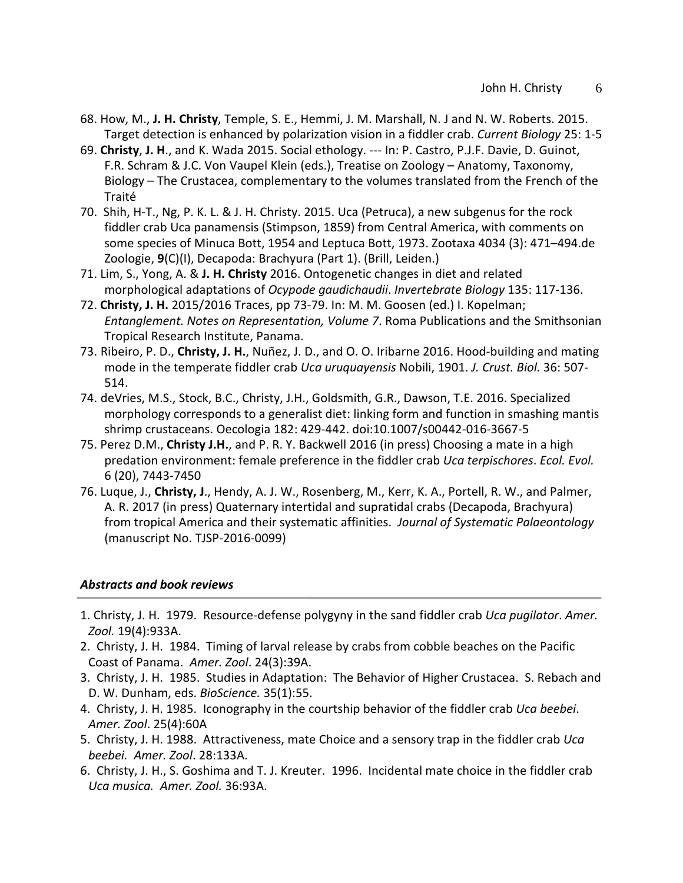- 68. How, M., **J. H. Christy**, Temple, S. E., Hemmi, J. M. Marshall, N. J and N. W. Roberts. 2015. Target detection is enhanced by polarization vision in a fiddler crab. *Current Biology* 25: 1-5
- 69. **Christy**, **J. H**., and K. Wada 2015. Social ethology. --- In: P. Castro, P.J.F. Davie, D. Guinot, F.R. Schram & J.C. Von Vaupel Klein (eds.), Treatise on Zoology – Anatomy, Taxonomy, Biology – The Crustacea, complementary to the volumes translated from the French of the Traité
- 70. Shih, H-T., Ng, P. K. L. & J. H. Christy. 2015. Uca (Petruca), a new subgenus for the rock fiddler crab Uca panamensis (Stimpson, 1859) from Central America, with comments on some species of Minuca Bott, 1954 and Leptuca Bott, 1973. Zootaxa 4034 (3): 471–494.de Zoologie, **9**(C)(I), Decapoda: Brachyura (Part 1). (Brill, Leiden.)
- 71. Lim, S., Yong, A. & **J. H. Christy** 2016. Ontogenetic changes in diet and related morphological adaptations of *Ocypode gaudichaudii*. *Invertebrate Biology* 135: 117-136.
- 72. **Christy, J. H.** 2015/2016 Traces, pp 73-79. In: M. M. Goosen (ed.) I. Kopelman; *Entanglement. Notes on Representation, Volume 7*. Roma Publications and the Smithsonian Tropical Research Institute, Panama.
- 73. Ribeiro, P. D., **Christy, J. H.**, Nuñez, J. D., and O. O. Iribarne 2016. Hood-building and mating mode in the temperate fiddler crab *Uca uruquayensis* Nobili, 1901. *J. Crust. Biol.* 36: 507- 514.
- 74. deVries, M.S., Stock, B.C., Christy, J.H., Goldsmith, G.R., Dawson, T.E. 2016. Specialized morphology corresponds to a generalist diet: linking form and function in smashing mantis shrimp crustaceans. Oecologia 182: 429-442. doi:10.1007/s00442-016-3667-5
- 75. Perez D.M., **Christy J.H.**, and P. R. Y. Backwell 2016 (in press) Choosing a mate in a high predation environment: female preference in the fiddler crab *Uca terpischores*. *Ecol. Evol.* 6 (20), 7443-7450
- 76. Luque, J., **Christy, J**., Hendy, A. J. W., Rosenberg, M., Kerr, K. A., Portell, R. W., and Palmer, A. R. 2017 (in press) Quaternary intertidal and supratidal crabs (Decapoda, Brachyura) from tropical America and their systematic affinities. *Journal of Systematic Palaeontology*  (manuscript No. TJSP-2016-0099)

#### *Abstracts and book reviews*

- 1. Christy, J. H. 1979. Resource-defense polygyny in the sand fiddler crab *Uca pugilator*. *Amer. Zool.* 19(4):933A.
- 2. Christy, J. H. 1984. Timing of larval release by crabs from cobble beaches on the Pacific Coast of Panama. *Amer. Zool*. 24(3):39A.
- 3. Christy, J. H. 1985. Studies in Adaptation: The Behavior of Higher Crustacea. S. Rebach and D. W. Dunham, eds. *BioScience.* 35(1):55.
- 4. Christy, J. H. 1985. Iconography in the courtship behavior of the fiddler crab *Uca beebei*. *Amer. Zool*. 25(4):60A
- 5. Christy, J. H. 1988. Attractiveness, mate Choice and a sensory trap in the fiddler crab *Uca beebei. Amer. Zool*. 28:133A.
- 6. Christy, J. H., S. Goshima and T. J. Kreuter. 1996. Incidental mate choice in the fiddler crab *Uca musica. Amer. Zool.* 36:93A.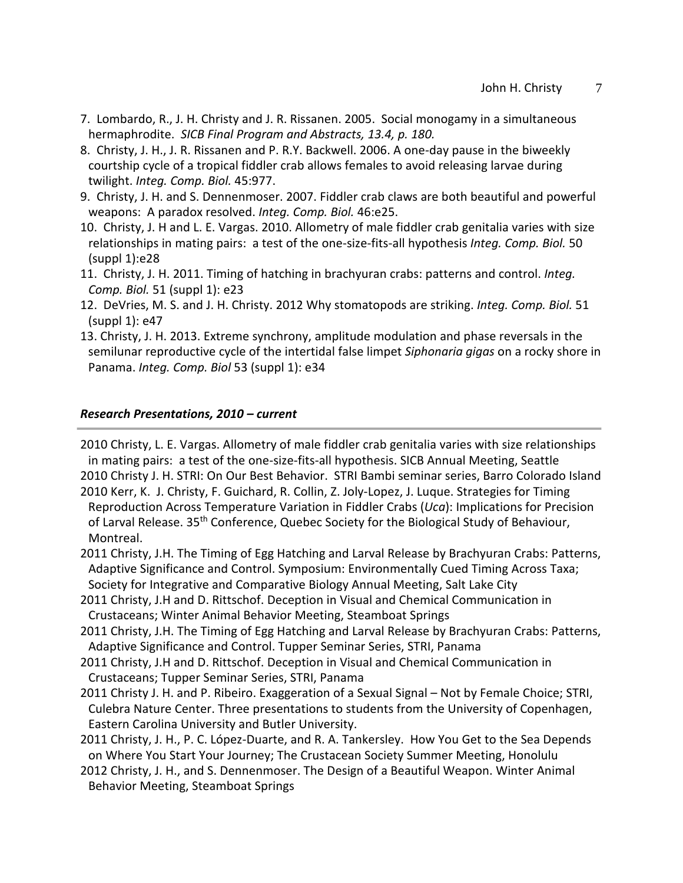- 7. Lombardo, R., J. H. Christy and J. R. Rissanen. 2005. Social monogamy in a simultaneous hermaphrodite. *SICB Final Program and Abstracts, 13.4, p. 180.*
- 8. Christy, J. H., J. R. Rissanen and P. R.Y. Backwell. 2006. A one-day pause in the biweekly courtship cycle of a tropical fiddler crab allows females to avoid releasing larvae during twilight. *Integ. Comp. Biol.* 45:977.
- 9. Christy, J. H. and S. Dennenmoser. 2007. Fiddler crab claws are both beautiful and powerful weapons: A paradox resolved. *Integ. Comp. Biol.* 46:e25.
- 10. Christy, J. H and L. E. Vargas. 2010. Allometry of male fiddler crab genitalia varies with size relationships in mating pairs: a test of the one-size-fits-all hypothesis *Integ. Comp. Biol.* 50 (suppl 1):e28
- 11. Christy, J. H. 2011. Timing of hatching in brachyuran crabs: patterns and control. *Integ. Comp. Biol.* 51 (suppl 1): e23
- 12. DeVries, M. S. and J. H. Christy. 2012 Why stomatopods are striking. *Integ. Comp. Biol.* 51 (suppl 1): e47
- 13. Christy, J. H. 2013. Extreme synchrony, amplitude modulation and phase reversals in the semilunar reproductive cycle of the intertidal false limpet *Siphonaria gigas* on a rocky shore in Panama. *Integ. Comp. Biol* 53 (suppl 1): e34

### *Research Presentations, 2010 – current*

2010 Christy, L. E. Vargas. Allometry of male fiddler crab genitalia varies with size relationships in mating pairs: a test of the one-size-fits-all hypothesis. SICB Annual Meeting, Seattle 2010 Christy J. H. STRI: On Our Best Behavior. STRI Bambi seminar series, Barro Colorado Island

2010 Kerr, K. J. Christy, F. Guichard, R. Collin, Z. Joly-Lopez, J. Luque. Strategies for Timing Reproduction Across Temperature Variation in Fiddler Crabs (*Uca*): Implications for Precision of Larval Release. 35<sup>th</sup> Conference, Quebec Society for the Biological Study of Behaviour, Montreal.

2011 Christy, J.H. The Timing of Egg Hatching and Larval Release by Brachyuran Crabs: Patterns, Adaptive Significance and Control. Symposium: Environmentally Cued Timing Across Taxa; Society for Integrative and Comparative Biology Annual Meeting, Salt Lake City

- 2011 Christy, J.H and D. Rittschof. Deception in Visual and Chemical Communication in Crustaceans; Winter Animal Behavior Meeting, Steamboat Springs
- 2011 Christy, J.H. The Timing of Egg Hatching and Larval Release by Brachyuran Crabs: Patterns, Adaptive Significance and Control. Tupper Seminar Series, STRI, Panama
- 2011 Christy, J.H and D. Rittschof. Deception in Visual and Chemical Communication in Crustaceans; Tupper Seminar Series, STRI, Panama
- 2011 Christy J. H. and P. Ribeiro. Exaggeration of a Sexual Signal Not by Female Choice; STRI, Culebra Nature Center. Three presentations to students from the University of Copenhagen, Eastern Carolina University and Butler University.
- 2011 Christy, J. H., P. C. López-Duarte, and R. A. Tankersley. How You Get to the Sea Depends on Where You Start Your Journey; The Crustacean Society Summer Meeting, Honolulu
- 2012 Christy, J. H., and S. Dennenmoser. The Design of a Beautiful Weapon. Winter Animal Behavior Meeting, Steamboat Springs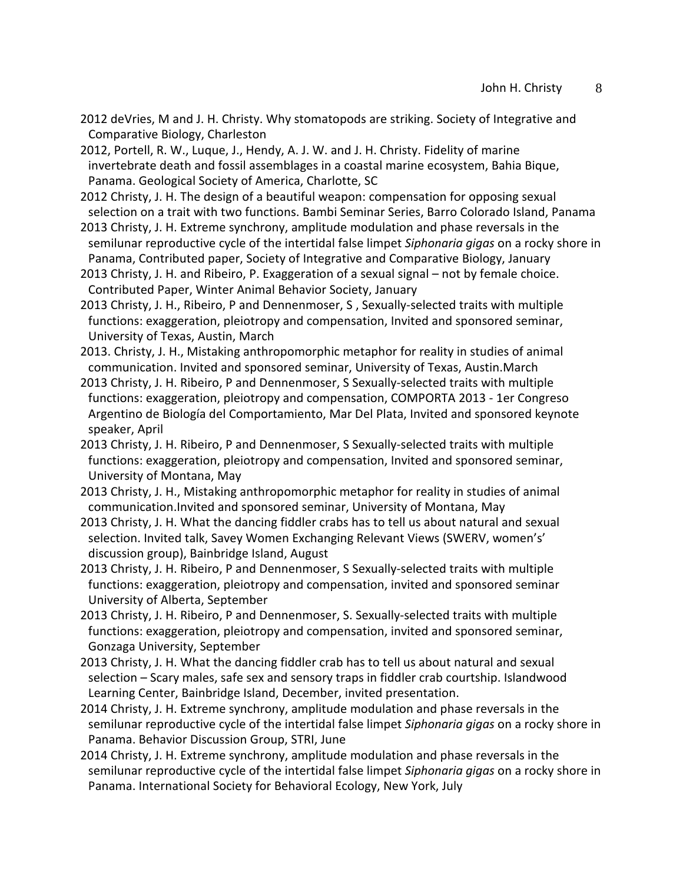2012 deVries, M and J. H. Christy. Why stomatopods are striking. Society of Integrative and Comparative Biology, Charleston

2012, Portell, R. W., Luque, J., Hendy, A. J. W. and J. H. Christy. Fidelity of marine invertebrate death and fossil assemblages in a coastal marine ecosystem, Bahia Bique, Panama. Geological Society of America, Charlotte, SC

- 2012 Christy, J. H. The design of a beautiful weapon: compensation for opposing sexual selection on a trait with two functions. Bambi Seminar Series, Barro Colorado Island, Panama
- 2013 Christy, J. H. Extreme synchrony, amplitude modulation and phase reversals in the semilunar reproductive cycle of the intertidal false limpet *Siphonaria gigas* on a rocky shore in Panama, Contributed paper, Society of Integrative and Comparative Biology, January
- 2013 Christy, J. H. and Ribeiro, P. Exaggeration of a sexual signal not by female choice. Contributed Paper, Winter Animal Behavior Society, January
- 2013 Christy, J. H., Ribeiro, P and Dennenmoser, S , Sexually-selected traits with multiple functions: exaggeration, pleiotropy and compensation, Invited and sponsored seminar, University of Texas, Austin, March
- 2013. Christy, J. H., Mistaking anthropomorphic metaphor for reality in studies of animal communication. Invited and sponsored seminar, University of Texas, Austin.March
- 2013 Christy, J. H. Ribeiro, P and Dennenmoser, S Sexually-selected traits with multiple functions: exaggeration, pleiotropy and compensation, COMPORTA 2013 - 1er Congreso Argentino de Biología del Comportamiento, Mar Del Plata, Invited and sponsored keynote speaker, April
- 2013 Christy, J. H. Ribeiro, P and Dennenmoser, S Sexually-selected traits with multiple functions: exaggeration, pleiotropy and compensation, Invited and sponsored seminar, University of Montana, May
- 2013 Christy, J. H., Mistaking anthropomorphic metaphor for reality in studies of animal communication.Invited and sponsored seminar, University of Montana, May
- 2013 Christy, J. H. What the dancing fiddler crabs has to tell us about natural and sexual selection. Invited talk, Savey Women Exchanging Relevant Views (SWERV, women's' discussion group), Bainbridge Island, August
- 2013 Christy, J. H. Ribeiro, P and Dennenmoser, S Sexually-selected traits with multiple functions: exaggeration, pleiotropy and compensation, invited and sponsored seminar University of Alberta, September
- 2013 Christy, J. H. Ribeiro, P and Dennenmoser, S. Sexually-selected traits with multiple functions: exaggeration, pleiotropy and compensation, invited and sponsored seminar, Gonzaga University, September
- 2013 Christy, J. H. What the dancing fiddler crab has to tell us about natural and sexual selection – Scary males, safe sex and sensory traps in fiddler crab courtship. Islandwood Learning Center, Bainbridge Island, December, invited presentation.
- 2014 Christy, J. H. Extreme synchrony, amplitude modulation and phase reversals in the semilunar reproductive cycle of the intertidal false limpet *Siphonaria gigas* on a rocky shore in Panama. Behavior Discussion Group, STRI, June
- 2014 Christy, J. H. Extreme synchrony, amplitude modulation and phase reversals in the semilunar reproductive cycle of the intertidal false limpet *Siphonaria gigas* on a rocky shore in Panama. International Society for Behavioral Ecology, New York, July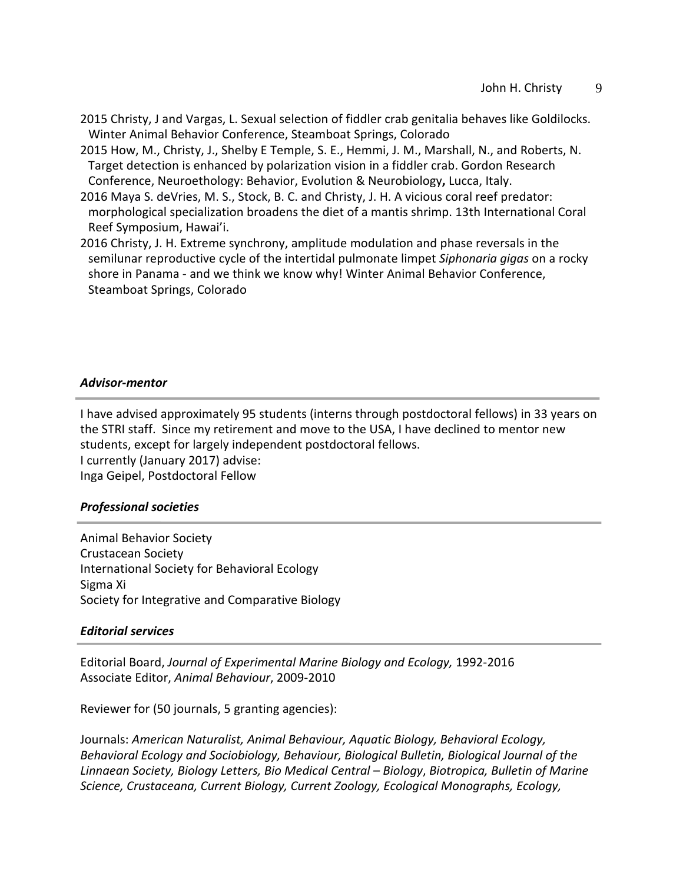- 2015 Christy, J and Vargas, L. Sexual selection of fiddler crab genitalia behaves like Goldilocks. Winter Animal Behavior Conference, Steamboat Springs, Colorado
- 2015 How, M., Christy, J., Shelby E Temple, S. E., Hemmi, J. M., Marshall, N., and Roberts, N. Target detection is enhanced by polarization vision in a fiddler crab. Gordon Research Conference, Neuroethology: Behavior, Evolution & Neurobiology**,** Lucca, Italy.
- 2016 Maya S. deVries, M. S., Stock, B. C. and Christy, J. H. A vicious coral reef predator: morphological specialization broadens the diet of a mantis shrimp. 13th International Coral Reef Symposium, Hawai'i.
- 2016 Christy, J. H. Extreme synchrony, amplitude modulation and phase reversals in the semilunar reproductive cycle of the intertidal pulmonate limpet *Siphonaria gigas* on a rocky shore in Panama - and we think we know why! Winter Animal Behavior Conference, Steamboat Springs, Colorado

#### *Advisor-mentor*

I have advised approximately 95 students (interns through postdoctoral fellows) in 33 years on the STRI staff. Since my retirement and move to the USA, I have declined to mentor new students, except for largely independent postdoctoral fellows. I currently (January 2017) advise: Inga Geipel, Postdoctoral Fellow

#### *Professional societies*

Animal Behavior Society Crustacean Society International Society for Behavioral Ecology Sigma Xi Society for Integrative and Comparative Biology

#### *Editorial services*

Editorial Board, *Journal of Experimental Marine Biology and Ecology,* 1992-2016 Associate Editor, *Animal Behaviour*, 2009-2010

Reviewer for (50 journals, 5 granting agencies):

Journals: *American Naturalist, Animal Behaviour, Aquatic Biology, Behavioral Ecology, Behavioral Ecology and Sociobiology, Behaviour, Biological Bulletin, Biological Journal of the Linnaean Society, Biology Letters, Bio Medical Central – Biology*, *Biotropica, Bulletin of Marine Science, Crustaceana, Current Biology, Current Zoology, Ecological Monographs, Ecology,*